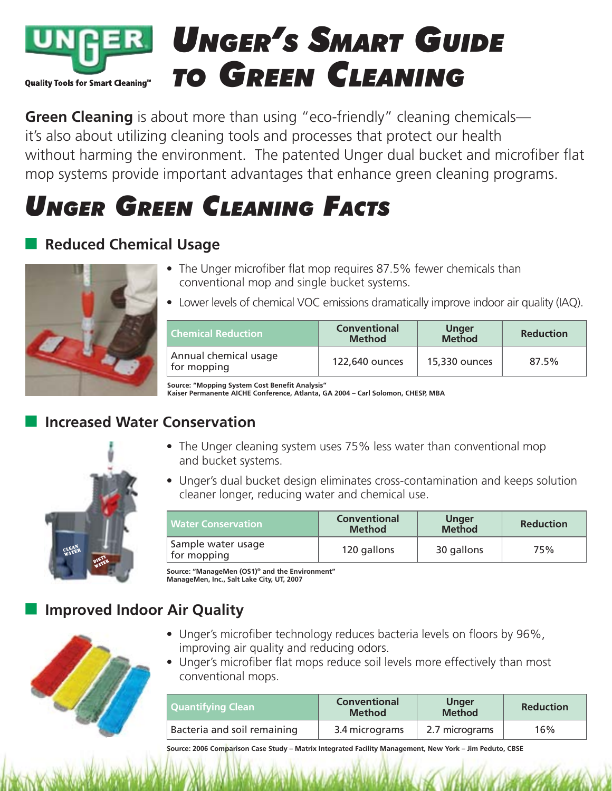

**Green Cleaning** is about more than using "eco-friendly" cleaning chemicals it's also about utilizing cleaning tools and processes that protect our health without harming the environment. The patented Unger dual bucket and microfiber flat mop systems provide important advantages that enhance green cleaning programs.

# *UNGER GREEN CLEANING FACTS*

## **Reduced Chemical Usage**



- The Unger microfiber flat mop requires 87.5% fewer chemicals than conventional mop and single bucket systems.
- Lower levels of chemical VOC emissions dramatically improve indoor air quality (IAQ).

| <b>Chemical Reduction</b>            | <b>Conventional</b><br><b>Method</b> | <b>Unger</b><br><b>Method</b> | <b>Reduction</b> |
|--------------------------------------|--------------------------------------|-------------------------------|------------------|
| Annual chemical usage<br>for mopping | 122,640 ounces                       | 15,330 ounces                 | 87.5%            |

**Source: "Mopping System Cost Benefit Analysis" Kaiser Permanente AICHE Conference, Atlanta, GA 2004 – Carl Solomon, CHESP, MBA**

#### **Increased Water Conservation**



- The Unger cleaning system uses 75% less water than conventional mop and bucket systems.
- Unger's dual bucket design eliminates cross-contamination and keeps solution cleaner longer, reducing water and chemical use.

| <b>Water Conservation</b>         | <b>Conventional</b><br><b>Method</b> | <b>Unger</b><br><b>Method</b> | <b>Reduction</b> |
|-----------------------------------|--------------------------------------|-------------------------------|------------------|
| Sample water usage<br>for mopping | 120 gallons                          | 30 gallons                    | 75%              |

**Source: "ManageMen (OS1)® and the Environment" ManageMen, Inc., Salt Lake City, UT, 2007**

## **Improved Indoor Air Quality**



- Unger's microfiber technology reduces bacteria levels on floors by 96%, improving air quality and reducing odors.
- Unger's microfiber flat mops reduce soil levels more effectively than most conventional mops.

| Quantifying Clean           | <b>Conventional</b><br><b>Method</b> | <b>Unger</b><br><b>Method</b> | <b>Reduction</b> |
|-----------------------------|--------------------------------------|-------------------------------|------------------|
| Bacteria and soil remaining | 3.4 micrograms                       | 2.7 micrograms                | 16%              |

**Source: 2006 Comparison Case Study – Matrix Integrated Facility Management, New York – Jim Peduto, CBSE**